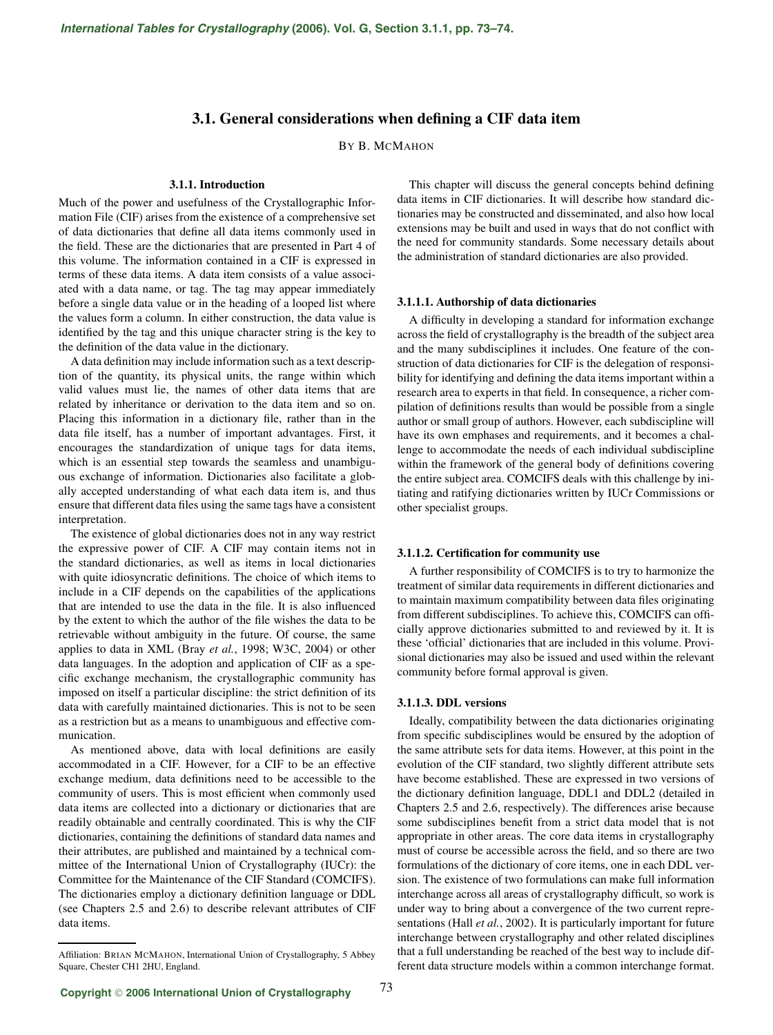# **3.1. General considerations when defining a CIF data item**

BY B. MCMAHON

# **3.1.1. Introduction**

Much of the power and usefulness of the Crystallographic Information File (CIF) arises from the existence of a comprehensive set of data dictionaries that define all data items commonly used in the field. These are the dictionaries that are presented in Part 4 of this volume. The information contained in a CIF is expressed in terms of these data items. A data item consists of a value associated with a data name, or tag. The tag may appear immediately before a single data value or in the heading of a looped list where the values form a column. In either construction, the data value is identified by the tag and this unique character string is the key to the definition of the data value in the dictionary.

A data definition may include information such as a text description of the quantity, its physical units, the range within which valid values must lie, the names of other data items that are related by inheritance or derivation to the data item and so on. Placing this information in a dictionary file, rather than in the data file itself, has a number of important advantages. First, it encourages the standardization of unique tags for data items, which is an essential step towards the seamless and unambiguous exchange of information. Dictionaries also facilitate a globally accepted understanding of what each data item is, and thus ensure that different data files using the same tags have a consistent interpretation.

The existence of global dictionaries does not in any way restrict the expressive power of CIF. A CIF may contain items not in the standard dictionaries, as well as items in local dictionaries with quite idiosyncratic definitions. The choice of which items to include in a CIF depends on the capabilities of the applications that are intended to use the data in the file. It is also influenced by the extent to which the author of the file wishes the data to be retrievable without ambiguity in the future. Of course, the same applies to data in XML (Bray *et al.*, 1998; W3C, 2004) or other data languages. In the adoption and application of CIF as a specific exchange mechanism, the crystallographic community has imposed on itself a particular discipline: the strict definition of its data with carefully maintained dictionaries. This is not to be seen as a restriction but as a means to unambiguous and effective communication.

As mentioned above, data with local definitions are easily accommodated in a CIF. However, for a CIF to be an effective exchange medium, data definitions need to be accessible to the community of users. This is most efficient when commonly used data items are collected into a dictionary or dictionaries that are readily obtainable and centrally coordinated. This is why the CIF dictionaries, containing the definitions of standard data names and their attributes, are published and maintained by a technical committee of the International Union of Crystallography (IUCr): the Committee for the Maintenance of the CIF Standard (COMCIFS). The dictionaries employ a dictionary definition language or DDL (see Chapters 2.5 and 2.6) to describe relevant attributes of CIF data items.

This chapter will discuss the general concepts behind defining data items in CIF dictionaries. It will describe how standard dictionaries may be constructed and disseminated, and also how local extensions may be built and used in ways that do not conflict with the need for community standards. Some necessary details about the administration of standard dictionaries are also provided.

# **3.1.1.1. Authorship of data dictionaries**

A difficulty in developing a standard for information exchange across the field of crystallography is the breadth of the subject area and the many subdisciplines it includes. One feature of the construction of data dictionaries for CIF is the delegation of responsibility for identifying and defining the data items important within a research area to experts in that field. In consequence, a richer compilation of definitions results than would be possible from a single author or small group of authors. However, each subdiscipline will have its own emphases and requirements, and it becomes a challenge to accommodate the needs of each individual subdiscipline within the framework of the general body of definitions covering the entire subject area. COMCIFS deals with this challenge by initiating and ratifying dictionaries written by IUCr Commissions or other specialist groups.

#### **3.1.1.2. Certification for community use**

A further responsibility of COMCIFS is to try to harmonize the treatment of similar data requirements in different dictionaries and to maintain maximum compatibility between data files originating from different subdisciplines. To achieve this, COMCIFS can officially approve dictionaries submitted to and reviewed by it. It is these 'official' dictionaries that are included in this volume. Provisional dictionaries may also be issued and used within the relevant community before formal approval is given.

# **3.1.1.3. DDL versions**

Ideally, compatibility between the data dictionaries originating from specific subdisciplines would be ensured by the adoption of the same attribute sets for data items. However, at this point in the evolution of the CIF standard, two slightly different attribute sets have become established. These are expressed in two versions of the dictionary definition language, DDL1 and DDL2 (detailed in Chapters 2.5 and 2.6, respectively). The differences arise because some subdisciplines benefit from a strict data model that is not appropriate in other areas. The core data items in crystallography must of course be accessible across the field, and so there are two formulations of the dictionary of core items, one in each DDL version. The existence of two formulations can make full information interchange across all areas of crystallography difficult, so work is under way to bring about a convergence of the two current representations (Hall *et al.*, 2002). It is particularly important for future interchange between crystallography and other related disciplines that a full understanding be reached of the best way to include different data structure models within a common interchange format.

Affiliation: BRIAN MCMAHON, International Union of Crystallography, 5 Abbey Square, Chester CH1 2HU, England.